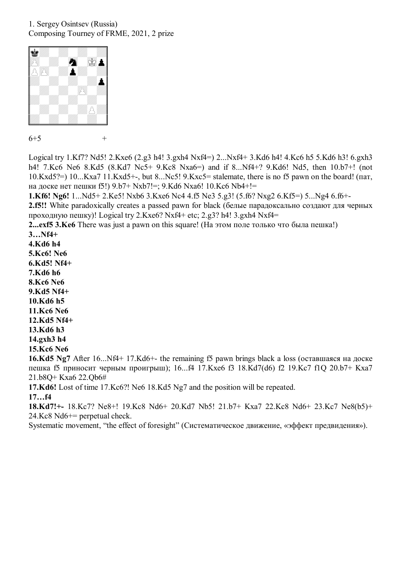1. Sergey Osintsev (Russia) Composing Tourney of FRME, 2021, 2 prize



 $6+5$  +

Logical try 1.Kf7? Nd5! 2.Kxe6 (2.g3 h4! 3.gxh4 Nxf4=) 2...Nxf4+ 3.Kd6 h4! 4.Kc6 h5 5.Kd6 h3! 6.gxh3 h4! 7.Kc6 Ne6 8.Kd5 (8.Kd7 Nc5+ 9.Kc8 Nxa6=) and if 8...Nf4+? 9.Kd6! Nd5, then 10.b7+! (not 10.Kxd5?=) 10...Kxa7 11.Kxd5+-, but 8...Nc5! 9.Kxc5= stalemate, there is no f5 pawn on the board! (пат, на доске нет пешки f5!) 9.b7+ Nxb7!=; 9.Kd6 Nxa6! 10.Kc6 Nb4+!=

**1.Kf6! Ng6!** 1...Nd5+ 2.Ke5! Nxb6 3.Kxe6 Nc4 4.f5 Ne3 5.g3! (5.f6? Nxg2 6.Kf5=) 5...Ng4 6.f6+-

**2.f5!!** White paradoxically creates a passed pawn for black (белые парадоксально создают для черных проходную пешку)! Logical try 2.Kxe6? Nxf4+ etc; 2.g3? h4! 3.gxh4 Nxf4=

**2...exf5 3.Ke6** There was just a pawn on this square! (На этом поле только что была пешка!) **3…Nf4+** 

**4.Kd6 h4** 

**5.Kc6! Ne6** 

**6.Kd5! Nf4+** 

**7.Kd6 h6** 

**8.Kc6 Ne6** 

**9.Kd5 Nf4+** 

**10.Kd6 h5** 

**11.Kc6 Ne6** 

**12.Kd5 Nf4+** 

**13.Kd6 h3** 

**14.gxh3 h4** 

**15.Kc6 Ne6** 

**16.Kd5 Ng7** After 16...Nf4+ 17.Kd6+- the remaining f5 pawn brings black a loss (оставшаяся на доске пешка f5 приносит черным проигрыш); 16...f4 17.Kxe6 f3 18.Kd7(d6) f2 19.Kc7 f1Q 20.b7+ Kxa7 21.b8Q+ Kxa6 22.Qb6#

**17.Kd6!** Lost of time 17.Kc6?! Ne6 18.Kd5 Ng7 and the position will be repeated.

**17…f4** 

**18.Kd7!+-** 18.Kc7? Ne8+! 19.Kc8 Nd6+ 20.Kd7 Nb5! 21.b7+ Kxa7 22.Kc8 Nd6+ 23.Kc7 Ne8(b5)+ 24.Kc8 Nd6+= perpetual check.

Systematic movement, "the effect of foresight" (Систематическое движение, «эффект предвидения»).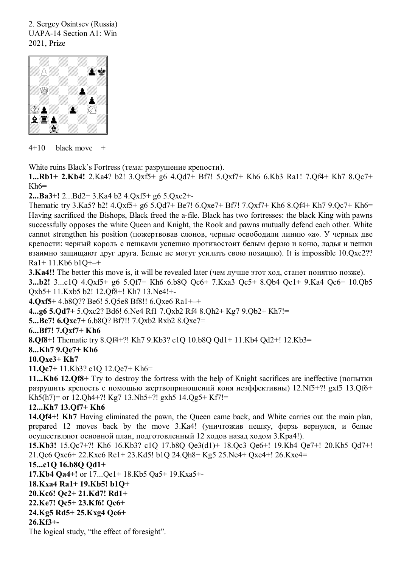2. Sergey Osintsev (Russia) UAPA-14 Section A1: Win 2021, Prize



 $4+10$  black move  $+$ 

White ruins Black's Fortress (тема: разрушение крепости).

**1...Rb1+ 2.Kb4!** 2.Ka4? b2! 3.Qxf5+ g6 4.Qd7+ Bf7! 5.Qxf7+ Kh6 6.Kb3 Ra1! 7.Qf4+ Kh7 8.Qc7+  $Kh6=$ 

**2...Ba3+!** 2...Bd2+ 3.Ka4 b2 4.Qxf5+ g6 5.Qxc2+-

Thematic try 3.Ka5? b2! 4.Qxf5+ g6 5.Qd7+ Be7! 6.Qxe7+ Bf7! 7.Qxf7+ Kh6 8.Qf4+ Kh7 9.Qc7+ Kh6= Having sacrificed the Bishops, Black freed the a-file. Black has two fortresses: the black King with pawns successfully opposes the white Queen and Knight, the Rook and pawns mutually defend each other. White cannot strengthen his position (пожертвовав слонов, черные освободили линию «а». У черных две крепости: черный король с пешками успешно противостоит белым ферзю и коню, ладья и пешки взаимно защищают друг друга. Белые не могут усилить свою позицию). It is impossible 10.Qxc2?? Ra1+ 11.Kb6 b1Q+–+

**3.Ka4!!** The better this move is, it will be revealed later (чем лучше этот ход, станет понятно позже).

**3...b2!** 3...c1Q 4.Qxf5+ g6 5.Qf7+ Kh6 6.b8Q Qc6+ 7.Kxa3 Qc5+ 8.Qb4 Qc1+ 9.Ka4 Qc6+ 10.Qb5 Qxb5+ 11.Kxb5 b2! 12.Qf8+! Kh7 13.Ne4!+-

**4.Qxf5+** 4.b8Q?? Be6! 5.Q5e8 Bf8!! 6.Qxe6 Ra1+–+

**4...g6 5.Qd7+** 5.Qxc2? Bd6! 6.Ne4 Rf1 7.Qxb2 Rf4 8.Qh2+ Kg7 9.Qb2+ Kh7!=

**5...Be7! 6.Qxe7+** 6.b8Q? Bf7!! 7.Qxb2 Rxb2 8.Qxe7=

**6...Bf7! 7.Qxf7+ Kh6** 

**8.Qf8+!** Thematic try 8.Qf4+?! Kh7 9.Kb3? c1Q 10.b8Q Qd1+ 11.Kb4 Qd2+! 12.Kb3=

**8...Kh7 9.Qe7+ Kh6** 

**10.Qxe3+ Kh7** 

**11.Qe7+** 11.Kb3? c1Q 12.Qe7+ Kh6=

**11...Kh6 12.Qf8+** Try to destroy the fortress with the help of Knight sacrifices are ineffective (попытки разрушить крепость с помощью жертвоприношений коня неэффективны) 12.Nf5+?! gxf5 13.Qf6+ Kh5(h7)= or 12.Qh4+?! Kg7 13.Nh5+?! gxh5 14.Qg5+ Kf7!=

#### **12...Kh7 13.Qf7+ Kh6**

**14.Qf4+! Kh7** Having eliminated the pawn, the Queen came back, and White carries out the main plan, prepared 12 moves back by the move 3.Ka4! (уничтожив пешку, ферзь вернулся, и белые осуществляют основной план, подготовленный 12 ходов назад ходом 3.Kрa4!).

**15.Kb3!** 15.Qc7+?! Kh6 16.Kb3? c1Q 17.b8Q Qe3(d1)+ 18.Qc3 Qe6+! 19.Kb4 Qe7+! 20.Kb5 Qd7+! 21.Qc6 Qxc6+ 22.Kxc6 Rc1+ 23.Kd5! b1Q 24.Qh8+ Kg5 25.Ne4+ Qxe4+! 26.Kxe4=

**15...c1Q 16.b8Q Qd1+** 

**17.Kb4 Qa4+!** or 17...Qe1+ 18.Kb5 Qa5+ 19.Kxa5+-

**18.Kxa4 Ra1+ 19.Kb5! b1Q+** 

**20.Kc6! Qc2+ 21.Kd7! Rd1+** 

**22.Ke7! Qc5+ 23.Kf6! Qc6+** 

**24.Kg5 Rd5+ 25.Kxg4 Qe6+** 

**26.Kf3+-**

The logical study, "the effect of foresight".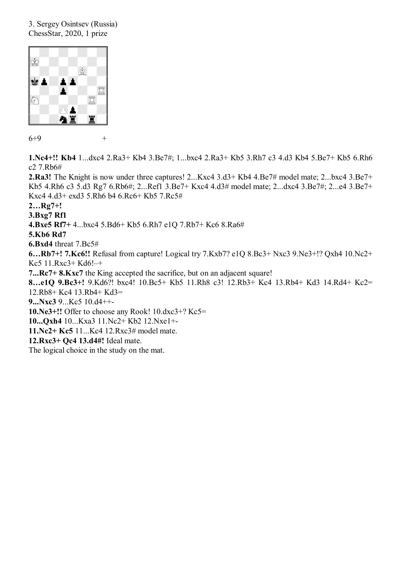### 3. Sergey Osintsev (Russia) ChessStar, 2020, 1 prize



```
6+9 +
```
**1.Nc4+!! Kb4** 1...dxc4 2.Ra3+ Kb4 3.Be7#; 1...bxc4 2.Ra3+ Kb5 3.Rh7 c3 4.d3 Kb4 5.Be7+ Kb5 6.Rh6 c2 7.Rb6#

**2.Ra3!** The Knight is now under three captures! 2...Kxc4 3.d3+ Kb4 4.Be7# model mate; 2...bxc4 3.Be7+ Kb5 4.Rh6 c3 5.d3 Rg7 6.Rb6#; 2...Ref1 3.Be7+ Kxc4 4.d3# model mate; 2...dxc4 3.Be7#; 2...e4 3.Be7+ Kxc4 4.d3+ exd3 5.Rh6 b4 6.Rc6+ Kb5 7.Rc5#

**2…Rg7+!** 

**3.Bxg7 Rf1** 

**4.Bxe5 Rf7+** 4...bxc4 5.Bd6+ Kb5 6.Rh7 e1Q 7.Rb7+ Kc6 8.Ra6#

**5.Kb6 Rd7** 

**6.Bxd4** threat 7.Bc5#

**6…Rb7+! 7.Kc6!!** Refusal from capture! Logical try 7.Kxb7? e1Q 8.Bc3+ Nxc3 9.Ne3+!? Qxh4 10.Nc2+ Kc5 11.Rxc3+ Kd6!–+

**7...Rc7+ 8.Kxc7** the King accepted the sacrifice, but on an adjacent square!

**8…e1Q 9.Bc3+!** 9.Kd6?! bxc4! 10.Bc5+ Kb5 11.Rh8 c3! 12.Rb3+ Kc4 13.Rb4+ Kd3 14.Rd4+ Kc2= 12.Rb8+ Kc4 13.Rb4+ Kd3=

**9...Nxc3** 9...Kc5 10.d4++-

**10.Ne3+!!** Offer to choose any Rook! 10.dxc3+? Kc5=

**10...Qxh4** 10...Kxa3 11.Nc2+ Kb2 12.Nxe1+-

**11.Nc2+ Kc5** 11...Kc4 12.Rxc3# model mate.

**12.Rxc3+ Qc4 13.d4#!** Ideal mate.

The logical choice in the study on the mat.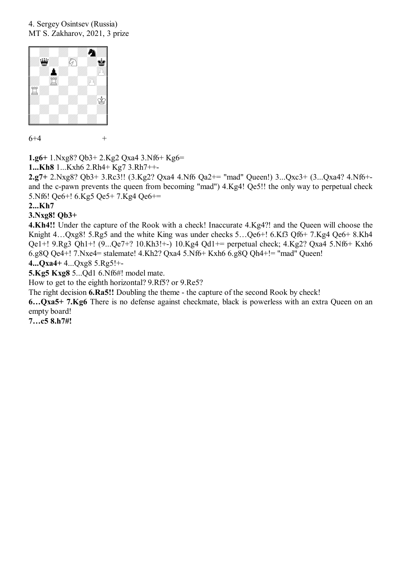### 4. Sergey Osintsev (Russia) MT S. Zakharov, 2021, 3 prize



 $6+4$  +

**1.g6+** 1.Nxg8? Qb3+ 2.Kg2 Qxa4 3.Nf6+ Kg6=

**1...Kh8** 1...Kxh6 2.Rh4+ Kg7 3.Rh7++-

**2.g7+** 2.Nxg8? Qb3+ 3.Rc3!! (3.Kg2? Qxa4 4.Nf6 Qa2+= "mad" Queen!) 3...Qxc3+ (3...Qxa4? 4.Nf6+ and the c-pawn prevents the queen from becoming "mad") 4.Kg4! Qe5!! the only way to perpetual check 5.Nf6! Qe6+! 6.Kg5 Qe5+ 7.Kg4 Qe6+=

## **2...Kh7**

# **3.Nxg8! Qb3+**

**4.Kh4!!** Under the capture of the Rook with a check! Inaccurate 4.Kg4?! and the Queen will choose the Knight 4…Qxg8! 5.Rg5 and the white King was under checks 5…Qe6+! 6.Kf3 Qf6+ 7.Kg4 Qe6+ 8.Kh4 Qe1+! 9.Rg3 Qh1+! (9...Qe7+? 10.Kh3!+-) 10.Kg4 Qd1+= perpetual check; 4.Kg2? Qxa4 5.Nf6+ Kxh6 6.g8Q Qe4+! 7.Nxe4= stalemate! 4.Kh2? Qxa4 5.Nf6+ Kxh6 6.g8Q Qh4+!= "mad" Queen!

**4...Qxa4+** 4...Qxg8 5.Rg5!+-

**5.Kg5 Kxg8** 5...Qd1 6.Nf6#! model mate.

How to get to the eighth horizontal? 9.Rf5? or 9.Re5?

The right decision **6.Ra5!!** Doubling the theme - the capture of the second Rook by check!

**6…Qxa5+ 7.Kg6** There is no defense against checkmate, black is powerless with an extra Queen on an empty board!

**7…c5 8.h7#!**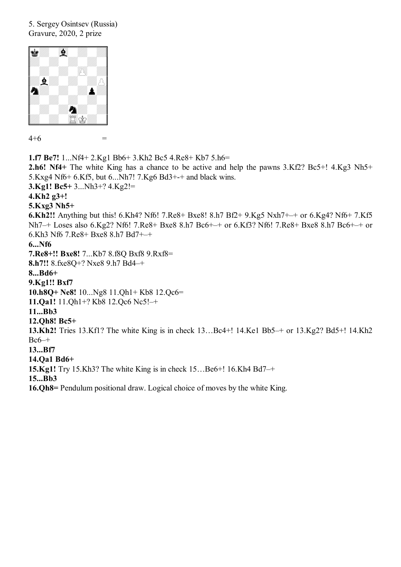#### 5. Sergey Osintsev (Russia) Gravure, 2020, 2 prize



 $4+6$   $=$ 

**1.f7 Be7!** 1...Nf4+ 2.Kg1 Bb6+ 3.Kh2 Bc5 4.Re8+ Kb7 5.h6=

**2.h6! Nf4+** The white King has a chance to be active and help the pawns 3.Kf2? Bc5+! 4.Kg3 Nh5+ 5.Kxg4 Nf6+ 6.Kf5, but 6...Nh7! 7.Kg6 Bd3+-+ and black wins.

**3.Kg1! Bc5+** 3...Nh3+? 4.Kg2!=

#### **4.Kh2 g3+!**

#### **5.Kxg3 Nh5+**

**6.Kh2!!** Anything but this! 6.Kh4? Nf6! 7.Re8+ Bxe8! 8.h7 Bf2+ 9.Kg5 Nxh7+–+ or 6.Kg4? Nf6+ 7.Kf5 Nh7–+ Loses also 6.Kg2? Nf6! 7.Re8+ Bxe8 8.h7 Bc6+–+ or 6.Kf3? Nf6! 7.Re8+ Bxe8 8.h7 Bc6+–+ or 6.Kh3 Nf6 7.Re8+ Bxe8 8.h7 Bd7+–+

## **6...Nf6**

**7.Re8+!! Bxe8!** 7...Kb7 8.f8Q Bxf8 9.Rxf8=

**8.h7!!** 8.fxe8Q+? Nxe8 9.h7 Bd4–+

#### **8...Bd6+**

**9.Kg1!! Bxf7** 

**10.h8Q+ Ne8!** 10...Ng8 11.Qh1+ Kb8 12.Qc6=

**11.Qa1!** 11.Qh1+? Kb8 12.Qc6 Nc5!–+

#### **11...Bb3**

**12.Qh8! Bc5+** 

**13.Kh2!** Tries 13.Kf1? The white King is in check 13…Bc4+! 14.Ke1 Bb5–+ or 13.Kg2? Bd5+! 14.Kh2  $Bc6-+$ 

**13...Bf7** 

#### **14.Qa1 Bd6+**

**15.Kg1!** Try 15.Kh3? The white King is in check 15…Be6+! 16.Kh4 Bd7–+

**15...Bb3** 

**16.Qh8=** Pendulum positional draw. Logical choice of moves by the white King.